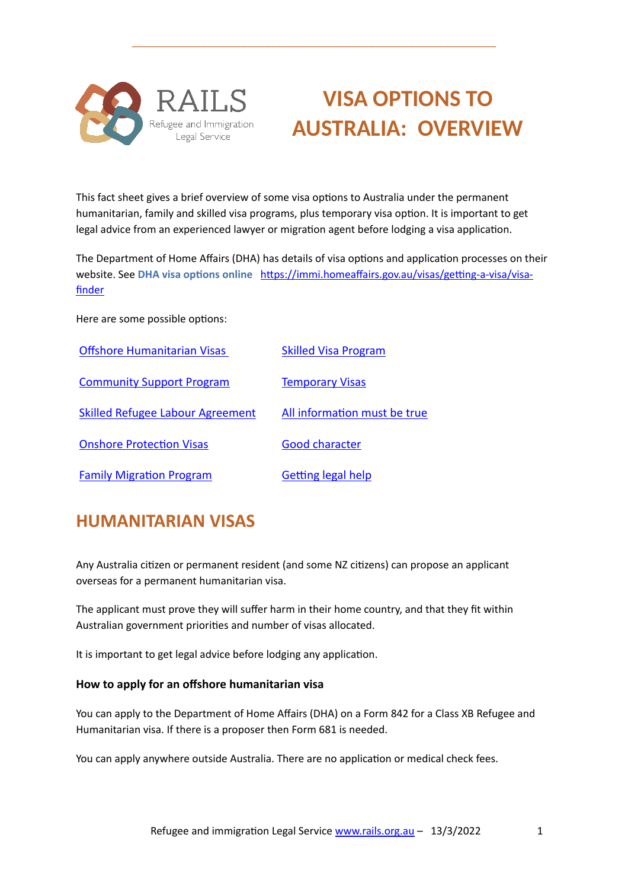

# **VISA OPTIONS TO AUSTRALIA: OVERVIEW**

This fact sheet gives a brief overview of some visa options to Australia under the permanent humanitarian, family and skilled visa programs, plus temporary visa option. It is important to get legal advice from an experienced lawyer or migration agent before lodging a visa application.

\_\_\_\_\_\_\_\_\_\_\_\_\_\_\_\_\_\_\_\_\_\_\_\_\_\_\_\_\_\_\_\_\_\_\_\_\_\_\_\_\_\_\_\_\_\_\_\_\_\_\_\_\_\_\_\_\_\_\_\_\_\_\_

The Department of Home Affairs (DHA) has details of visa options and application processes on their website. See DHA visa options online https://immi.homeaffairs.gov.au/visas/getting-a-visa/visa[finder](https://immi.homeaffairs.gov.au/visas/getting-a-visa/visa-finder)

Here are some possible options:

| <b>Offshore Humanitarian Visas</b>      | <b>Skilled Visa Program</b>  |
|-----------------------------------------|------------------------------|
| <b>Community Support Program</b>        | <b>Temporary Visas</b>       |
| <b>Skilled Refugee Labour Agreement</b> | All information must be true |
| <b>Onshore Protection Visas</b>         | <b>Good character</b>        |
| <b>Family Migration Program</b>         | <b>Getting legal help</b>    |

## <span id="page-0-0"></span>**HUMANITARIAN VISAS**

Any Australia citizen or permanent resident (and some NZ citizens) can propose an applicant overseas for a permanent humanitarian visa.

The applicant must prove they will suffer harm in their home country, and that they fit within Australian government priorities and number of visas allocated.

It is important to get legal advice before lodging any application.

#### **How to apply for an offshore humanitarian visa**

You can apply to the Department of Home Affairs (DHA) on a Form 842 for a Class XB Refugee and Humanitarian visa. If there is a proposer then Form 681 is needed.

You can apply anywhere outside Australia. There are no application or medical check fees.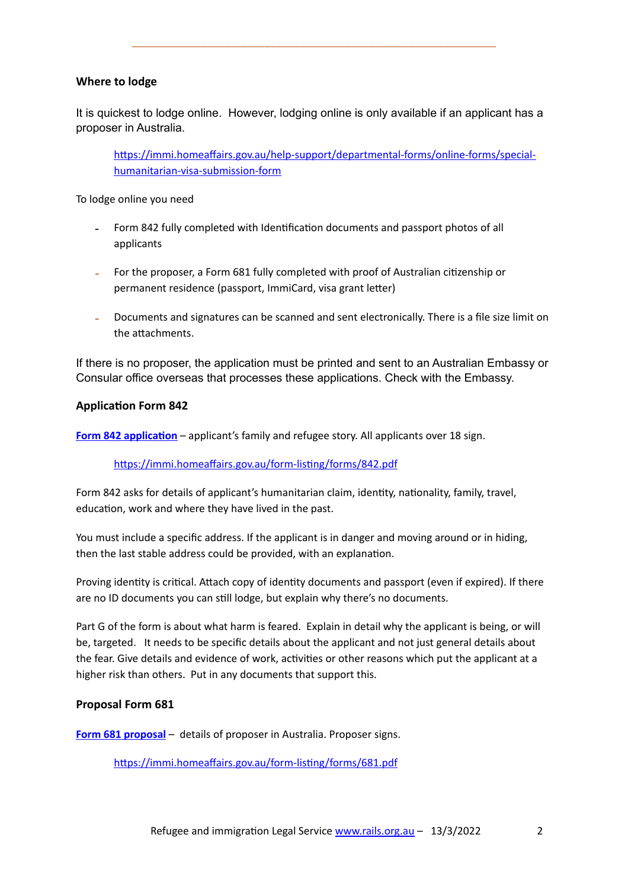#### **Where to lodge**

It is quickest to lodge online. However, lodging online is only available if an applicant has a proposer in Australia.

\_\_\_\_\_\_\_\_\_\_\_\_\_\_\_\_\_\_\_\_\_\_\_\_\_\_\_\_\_\_\_\_\_\_\_\_\_\_\_\_\_\_\_\_\_\_\_\_\_\_\_\_\_\_\_\_\_\_\_\_\_\_\_

https://immi.homeaffairs.gov.au/help-support/departmental-forms/online-forms/special[humanitarian-visa-submission-form](https://immi.homeaffairs.gov.au/help-support/departmental-forms/online-forms/special-humanitarian-visa-submission-form)

To lodge online you need

- Form 842 fully completed with Identification documents and passport photos of all applicants
- For the proposer, a Form 681 fully completed with proof of Australian citizenship or permanent residence (passport, ImmiCard, visa grant letter)
- Documents and signatures can be scanned and sent electronically. There is a file size limit on the attachments

If there is no proposer, the application must be printed and sent to an Australian Embassy or Consular office overseas that processes these applications. Check with the Embassy.

#### **Application Form 842**

Form 842 application – applicant's family and refugee story. All applicants over 18 sign.

https://immi.homeaffairs.gov.au/form-listing/forms/842.pdf

Form 842 asks for details of applicant's humanitarian claim, identity, nationality, family, travel, education, work and where they have lived in the past.

You must include a specific address. If the applicant is in danger and moving around or in hiding, then the last stable address could be provided, with an explanation.

Proving identity is critical. Attach copy of identity documents and passport (even if expired). If there are no ID documents you can still lodge, but explain why there's no documents.

Part G of the form is about what harm is feared. Explain in detail why the applicant is being, or will be, targeted. It needs to be specific details about the applicant and not just general details about the fear. Give details and evidence of work, activities or other reasons which put the applicant at a higher risk than others. Put in any documents that support this.

#### **Proposal Form 681**

**[Form 681](https://immi.homeaffairs.gov.au/form-listing/forms/681.pdf) proposal** – details of proposer in Australia. Proposer signs.

https://immi.homeaffairs.gov.au/form-listing/forms/681.pdf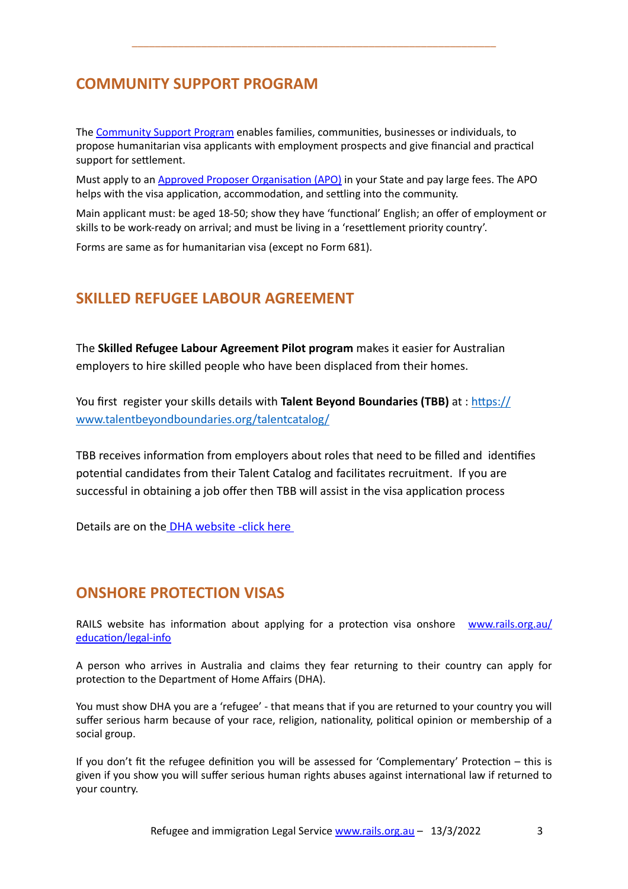## <span id="page-2-0"></span>**COMMUNITY SUPPORT PROGRAM**

The [Community Support Program](https://immi.homeaffairs.gov.au/what-we-do/refugee-and-humanitarian-program/community-support-program) enables families, communities, businesses or individuals, to propose humanitarian visa applicants with employment prospects and give financial and practical support for settlement.

\_\_\_\_\_\_\_\_\_\_\_\_\_\_\_\_\_\_\_\_\_\_\_\_\_\_\_\_\_\_\_\_\_\_\_\_\_\_\_\_\_\_\_\_\_\_\_\_\_\_\_\_\_\_\_\_\_\_\_\_\_\_\_

Must apply to an Approved Proposer Organisation (APO) in your State and pay large fees. The APO helps with the visa application, accommodation, and settling into the community.

Main applicant must: be aged 18-50; show they have 'functional' English; an offer of employment or skills to be work-ready on arrival; and must be living in a 'resettlement priority country'.

Forms are same as for humanitarian visa (except no Form 681).

## <span id="page-2-1"></span>**SKILLED REFUGEE LABOUR AGREEMENT**

The **Skilled Refugee Labour Agreement Pilot program** makes it easier for Australian employers to hire skilled people who have been displaced from their homes.

You first register your skills details with **Talent Beyond Boundaries (TBB)** at : https:// [www.talentbeyondboundaries.org/talentcatalog/](https://www.talentbeyondboundaries.org/talentcatalog/)

TBB receives information from employers about roles that need to be filled and identifies potential candidates from their Talent Catalog and facilitates recruitment. If you are successful in obtaining a job offer then TBB will assist in the visa application process

Details are on the [DHA website -click here](https://immi.homeaffairs.gov.au/what-we-do/skilled-migration-program/recent-changes/skilled-refugee-labour-agreement-pilot-program) 

#### <span id="page-2-2"></span>**ONSHORE PROTECTION VISAS**

RAILS website has information about applying for a protection visa onshore [www.rails.org.au/](https://www.rails.org.au/education/legal-info) education/legal-info

A person who arrives in Australia and claims they fear returning to their country can apply for protection to the Department of Home Affairs (DHA).

You must show DHA you are a 'refugee' - that means that if you are returned to your country you will suffer serious harm because of your race, religion, nationality, political opinion or membership of a social group.

If you don't fit the refugee definition you will be assessed for 'Complementary' Protection – this is given if you show you will suffer serious human rights abuses against international law if returned to your country.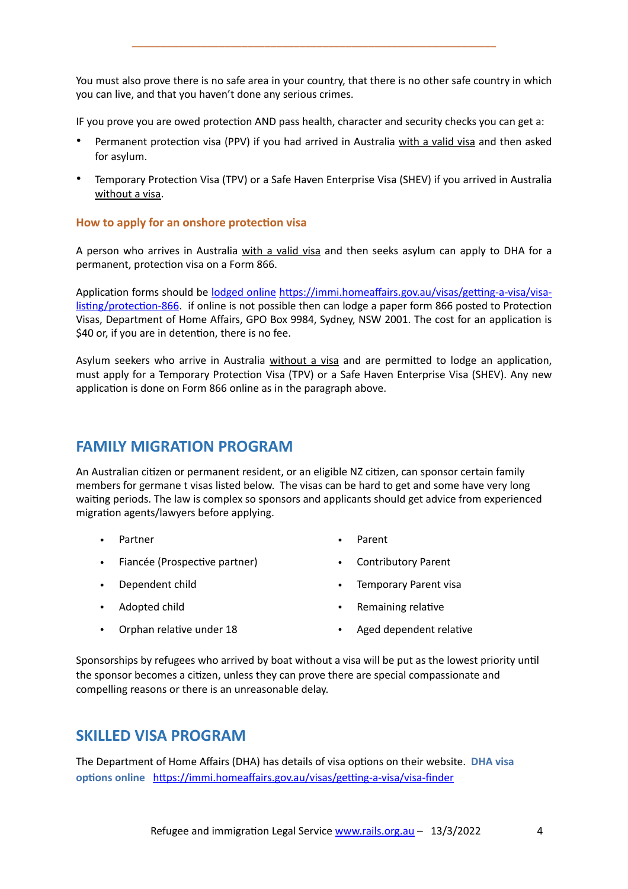You must also prove there is no safe area in your country, that there is no other safe country in which you can live, and that you haven't done any serious crimes.

\_\_\_\_\_\_\_\_\_\_\_\_\_\_\_\_\_\_\_\_\_\_\_\_\_\_\_\_\_\_\_\_\_\_\_\_\_\_\_\_\_\_\_\_\_\_\_\_\_\_\_\_\_\_\_\_\_\_\_\_\_\_\_

IF you prove you are owed protection AND pass health, character and security checks you can get a:

- Permanent protection visa (PPV) if you had arrived in Australia with a valid visa and then asked for asylum.
- Temporary Protection Visa (TPV) or a Safe Haven Enterprise Visa (SHEV) if you arrived in Australia without a visa.

#### **How to apply for an onshore protection visa**

A person who arrives in Australia with a valid visa and then seeks asylum can apply to DHA for a permanent, protection visa on a Form 866.

Application forms should be <u>[lodged online](https://immi.homeaffairs.gov.au/visas/getting-a-visa/visa-listing/protection-866) https://immi.homeaffairs.gov.au/visas/getting-a-visa/visa-</u> listing/protection-866. if online is not possible then can lodge a paper form 866 posted to Protection Visas, Department of Home Affairs, GPO Box 9984, Sydney, NSW 2001. The cost for an application is \$40 or, if you are in detention, there is no fee.

Asylum seekers who arrive in Australia without a visa and are permitted to lodge an application, must apply for a Temporary Protection Visa (TPV) or a Safe Haven Enterprise Visa (SHEV). Any new application is done on Form 866 online as in the paragraph above.

#### <span id="page-3-0"></span>**FAMILY MIGRATION PROGRAM**

An Australian citizen or permanent resident, or an eligible NZ citizen, can sponsor certain family members for germane t visas listed below. The visas can be hard to get and some have very long waiting periods. The law is complex so sponsors and applicants should get advice from experienced migration agents/lawyers before applying.

- Partner
- Fiancée (Prospective partner)
- Dependent child
- Adopted child
- Parent
- Contributory Parent
- Temporary Parent visa
- Remaining relative

Orphan relative under 18

Aged dependent relative

Sponsorships by refugees who arrived by boat without a visa will be put as the lowest priority until the sponsor becomes a citizen, unless they can prove there are special compassionate and compelling reasons or there is an unreasonable delay.

#### <span id="page-3-1"></span>**SKILLED VISA PROGRAM**

The Department of Home Affairs (DHA) has details of visa options on their website. DHA visa **options online** https://immi.homeaffairs.gov.au/visas/getting-a-visa/visa-finder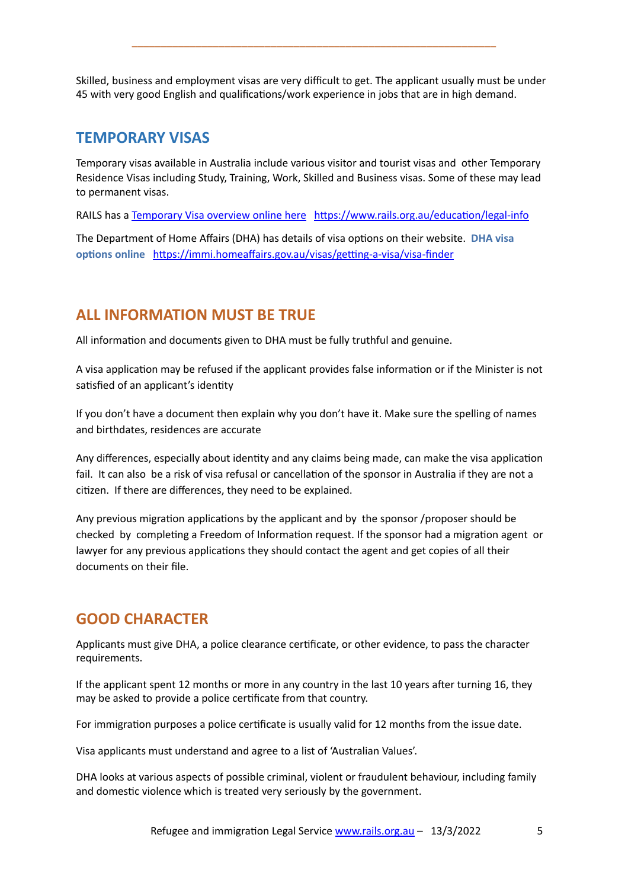Skilled, business and employment visas are very difficult to get. The applicant usually must be under 45 with very good English and qualifications/work experience in jobs that are in high demand.

\_\_\_\_\_\_\_\_\_\_\_\_\_\_\_\_\_\_\_\_\_\_\_\_\_\_\_\_\_\_\_\_\_\_\_\_\_\_\_\_\_\_\_\_\_\_\_\_\_\_\_\_\_\_\_\_\_\_\_\_\_\_\_

#### <span id="page-4-0"></span>**TEMPORARY VISAS**

Temporary visas available in Australia include various visitor and tourist visas and other Temporary Residence Visas including Study, Training, Work, Skilled and Business visas. Some of these may lead to permanent visas.

RAILS has a [Temporary Visa overview online here](https://www.rails.org.au/sites/default/files/2022-03/20220304%20Temporary%20Visas-Final%20.pdf) https://www.rails.org.au/education/legal-info

The Department of Home Affairs (DHA) has details of visa options on their website. DHA visa **options online https://immi.homeaffairs.gov.au/visas/getting-a-visa/visa-finder** 

## <span id="page-4-1"></span>**ALL INFORMATION MUST BE TRUE**

All information and documents given to DHA must be fully truthful and genuine.

A visa application may be refused if the applicant provides false information or if the Minister is not satisfied of an applicant's identity

If you don't have a document then explain why you don't have it. Make sure the spelling of names and birthdates, residences are accurate

Any differences, especially about identity and any claims being made, can make the visa application fail. It can also be a risk of visa refusal or cancellation of the sponsor in Australia if they are not a citizen. If there are differences, they need to be explained.

Any previous migration applications by the applicant and by the sponsor /proposer should be checked by completing a Freedom of Information request. If the sponsor had a migration agent or lawyer for any previous applications they should contact the agent and get copies of all their documents on their file.

## <span id="page-4-2"></span>**GOOD CHARACTER**

Applicants must give DHA, a police clearance certificate, or other evidence, to pass the character requirements.

If the applicant spent 12 months or more in any country in the last 10 years after turning 16, they may be asked to provide a police certificate from that country.

For immigration purposes a police certificate is usually valid for 12 months from the issue date.

Visa applicants must understand and agree to a list of 'Australian Values'.

DHA looks at various aspects of possible criminal, violent or fraudulent behaviour, including family and domestic violence which is treated very seriously by the government.